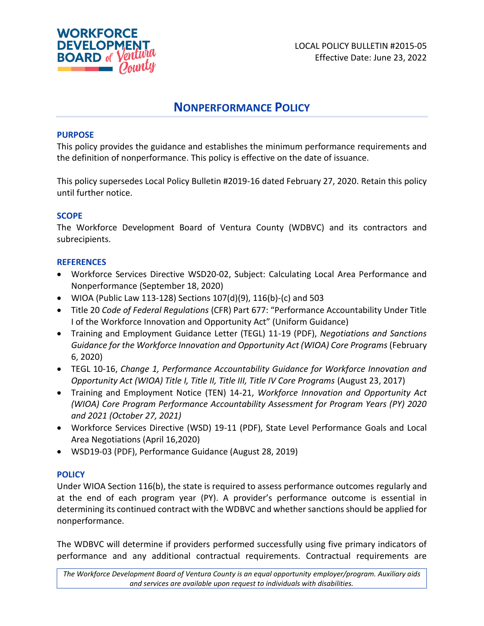

# **NONPERFORMANCE POLICY**

## **PURPOSE**

This policy provides the guidance and establishes the minimum performance requirements and the definition of nonperformance. This policy is effective on the date of issuance.

This policy supersedes Local Policy Bulletin #2019-16 dated February 27, 2020. Retain this policy until further notice.

## **SCOPE**

The Workforce Development Board of Ventura County (WDBVC) and its contractors and subrecipients.

### **REFERENCES**

- Workforce Services Directive WSD20-02, Subject: Calculating Local Area Performance and Nonperformance (September 18, 2020)
- WIOA (Public Law 113-128) Sections  $107(d)(9)$ ,  $116(b)-(c)$  and 503
- Title 20 *Code of Federal Regulations* (CFR) Part 677: "Performance Accountability Under Title I of the Workforce Innovation and Opportunity Act" (Uniform Guidance)
- Training and Employment Guidance Letter (TEGL) 11-19 (PDF), *Negotiations and Sanctions Guidance for the Workforce Innovation and Opportunity Act (WIOA) Core Programs* (February 6, 2020)
- TEGL 10-16, *Change 1, Performance Accountability Guidance for Workforce Innovation and Opportunity Act (WIOA) Title I, Title II, Title III, Title IV Core Programs (August 23, 2017)*
- Training and Employment Notice (TEN) 14-21, *Workforce Innovation and Opportunity Act (WIOA) Core Program Performance Accountability Assessment for Program Years (PY) 2020 and 2021 (October 27, 2021)*
- Workforce Services Directive (WSD) 19-11 (PDF), State Level Performance Goals and Local Area Negotiations (April 16,2020)
- WSD19-03 (PDF), Performance Guidance (August 28, 2019)

### **POLICY**

Under WIOA Section 116(b), the state is required to assess performance outcomes regularly and at the end of each program year (PY). A provider's performance outcome is essential in determining its continued contract with the WDBVC and whether sanctions should be applied for nonperformance.

The WDBVC will determine if providers performed successfully using five primary indicators of performance and any additional contractual requirements. Contractual requirements are

*The Workforce Development Board of Ventura County is an equal opportunity employer/program. Auxiliary aids and services are available upon request to individuals with disabilities.*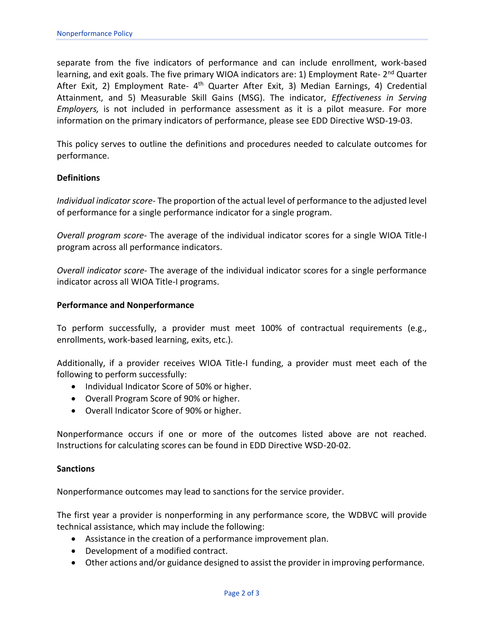separate from the five indicators of performance and can include enrollment, work-based learning, and exit goals. The five primary WIOA indicators are: 1) Employment Rate- 2<sup>nd</sup> Quarter After Exit, 2) Employment Rate- 4<sup>th</sup> Quarter After Exit, 3) Median Earnings, 4) Credential Attainment, and 5) Measurable Skill Gains (MSG). The indicator, *Effectiveness in Serving Employers,* is not included in performance assessment as it is a pilot measure. For more information on the primary indicators of performance, please see EDD Directive WSD-19-03.

This policy serves to outline the definitions and procedures needed to calculate outcomes for performance.

### **Definitions**

*Individual indicator score*- The proportion of the actual level of performance to the adjusted level of performance for a single performance indicator for a single program.

*Overall program score*- The average of the individual indicator scores for a single WIOA Title-I program across all performance indicators.

*Overall indicator score*- The average of the individual indicator scores for a single performance indicator across all WIOA Title-I programs.

#### **Performance and Nonperformance**

To perform successfully, a provider must meet 100% of contractual requirements (e.g., enrollments, work-based learning, exits, etc.).

Additionally, if a provider receives WIOA Title-I funding, a provider must meet each of the following to perform successfully:

- Individual Indicator Score of 50% or higher.
- Overall Program Score of 90% or higher.
- Overall Indicator Score of 90% or higher.

Nonperformance occurs if one or more of the outcomes listed above are not reached. Instructions for calculating scores can be found in EDD Directive WSD-20-02.

### **Sanctions**

Nonperformance outcomes may lead to sanctions for the service provider.

The first year a provider is nonperforming in any performance score, the WDBVC will provide technical assistance, which may include the following:

- Assistance in the creation of a performance improvement plan.
- Development of a modified contract.
- Other actions and/or guidance designed to assist the provider in improving performance.